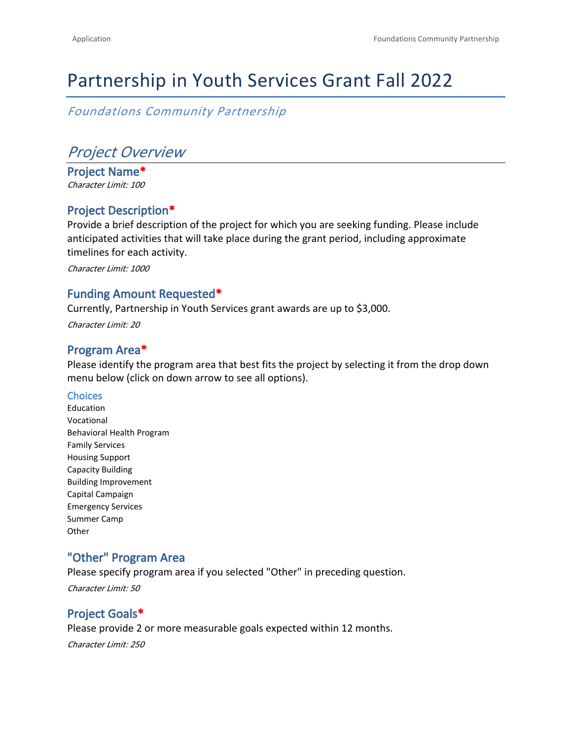# Partnership in Youth Services Grant Fall 2022

*Foundations Community Partnership*

# *Project Overview*

**Project Name\*** *Character Limit: 100*

### **Project Description\***

Provide a brief description of the project for which you are seeking funding. Please include anticipated activities that will take place during the grant period, including approximate timelines for each activity.

*Character Limit: 1000*

#### **Funding Amount Requested\***

Currently, Partnership in Youth Services grant awards are up to \$3,000.

*Character Limit: 20*

#### **Program Area\***

Please identify the program area that best fits the project by selecting it from the drop down menu below (click on down arrow to see all options).

#### **Choices**

Education Vocational Behavioral Health Program Family Services Housing Support Capacity Building Building Improvement Capital Campaign Emergency Services Summer Camp **Other** 

## **"Other" Program Area**

Please specify program area if you selected "Other" in preceding question. *Character Limit: 50*

### **Project Goals\***

Please provide 2 or more measurable goals expected within 12 months. *Character Limit: 250*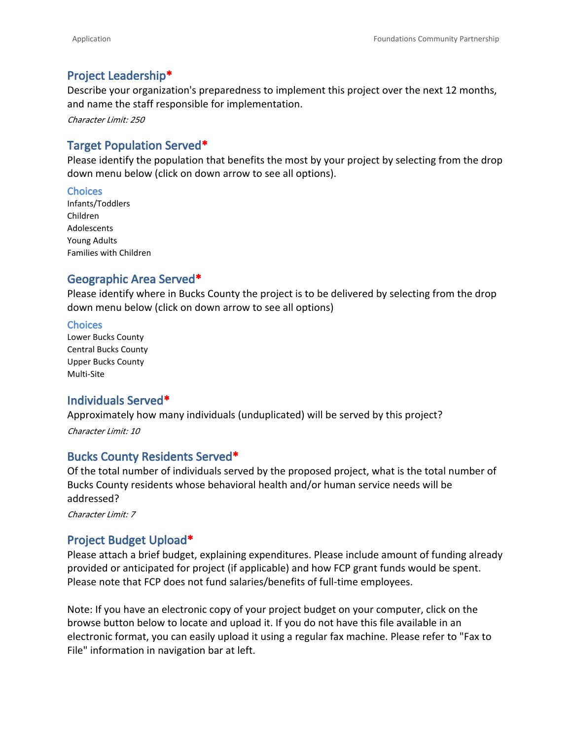#### **Project Leadership\***

Describe your organization's preparedness to implement this project over the next 12 months, and name the staff responsible for implementation.

*Character Limit: 250*

### **Target Population Served\***

Please identify the population that benefits the most by your project by selecting from the drop down menu below (click on down arrow to see all options).

#### **Choices**

Infants/Toddlers Children Adolescents Young Adults Families with Children

#### **Geographic Area Served\***

Please identify where in Bucks County the project is to be delivered by selecting from the drop down menu below (click on down arrow to see all options)

#### **Choices**

Lower Bucks County Central Bucks County Upper Bucks County Multi-Site

#### **Individuals Served\***

Approximately how many individuals (unduplicated) will be served by this project?

*Character Limit: 10*

#### **Bucks County Residents Served\***

Of the total number of individuals served by the proposed project, what is the total number of Bucks County residents whose behavioral health and/or human service needs will be addressed?

*Character Limit: 7*

### **Project Budget Upload\***

Please attach a brief budget, explaining expenditures. Please include amount of funding already provided or anticipated for project (if applicable) and how FCP grant funds would be spent. Please note that FCP does not fund salaries/benefits of full-time employees.

Note: If you have an electronic copy of your project budget on your computer, click on the browse button below to locate and upload it. If you do not have this file available in an electronic format, you can easily upload it using a regular fax machine. Please refer to "Fax to File" information in navigation bar at left.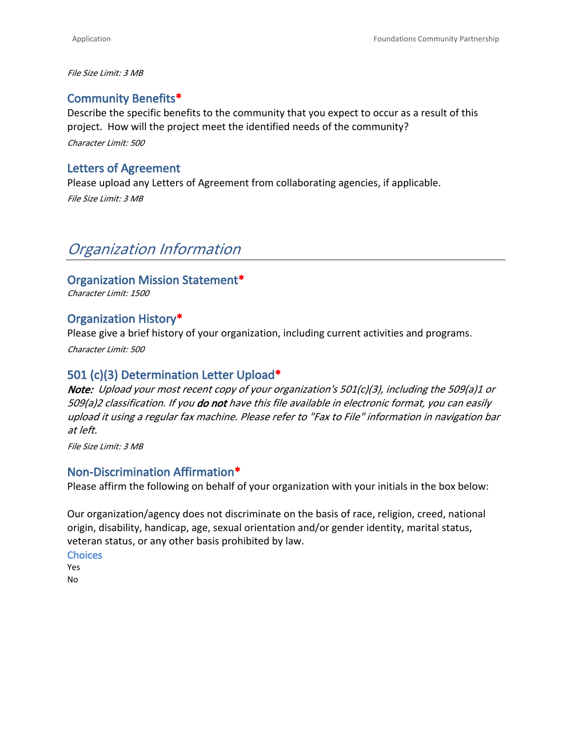*File Size Limit: 3 MB*

#### **Community Benefits\***

Describe the specific benefits to the community that you expect to occur as a result of this project. How will the project meet the identified needs of the community? *Character Limit: 500*

#### **Letters of Agreement**

Please upload any Letters of Agreement from collaborating agencies, if applicable. *File Size Limit: 3 MB*

# *Organization Information*

#### **Organization Mission Statement\***

*Character Limit: 1500*

#### **Organization History\***

Please give a brief history of your organization, including current activities and programs.

*Character Limit: 500*

#### **501 (c)(3) Determination Letter Upload\***

*Note: Upload your most recent copy of your organization's 501(c)(3), including the 509(a)1 or 509(a)2 classification. If you do not have this file available in electronic format, you can easily upload it using a regular fax machine. Please refer to "Fax to File" information in navigation bar at left.*

*File Size Limit: 3 MB*

#### **Non-Discrimination Affirmation\***

Please affirm the following on behalf of your organization with your initials in the box below:

Our organization/agency does not discriminate on the basis of race, religion, creed, national origin, disability, handicap, age, sexual orientation and/or gender identity, marital status, veteran status, or any other basis prohibited by law.

**Choices** Yes

No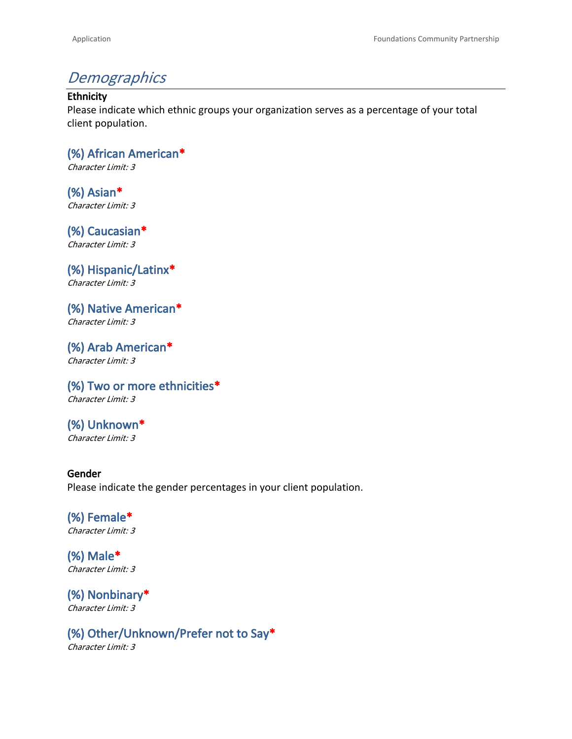# *Demographics*

#### **Ethnicity**

Please indicate which ethnic groups your organization serves as a percentage of your total client population.

**(%) African American\*** *Character Limit: 3*

**(%) Asian\*** *Character Limit: 3*

**(%) Caucasian\*** *Character Limit: 3*

**(%) Hispanic/Latinx\*** *Character Limit: 3*

**(%) Native American\*** *Character Limit: 3*

**(%) Arab American\*** *Character Limit: 3*

**(%) Two or more ethnicities\*** *Character Limit: 3*

**(%) Unknown\*** *Character Limit: 3*

#### **Gender** Please indicate the gender percentages in your client population.

**(%) Female\*** *Character Limit: 3*

**(%) Male\*** *Character Limit: 3*

**(%) Nonbinary\*** *Character Limit: 3*

**(%) Other/Unknown/Prefer not to Say\*** *Character Limit: 3*